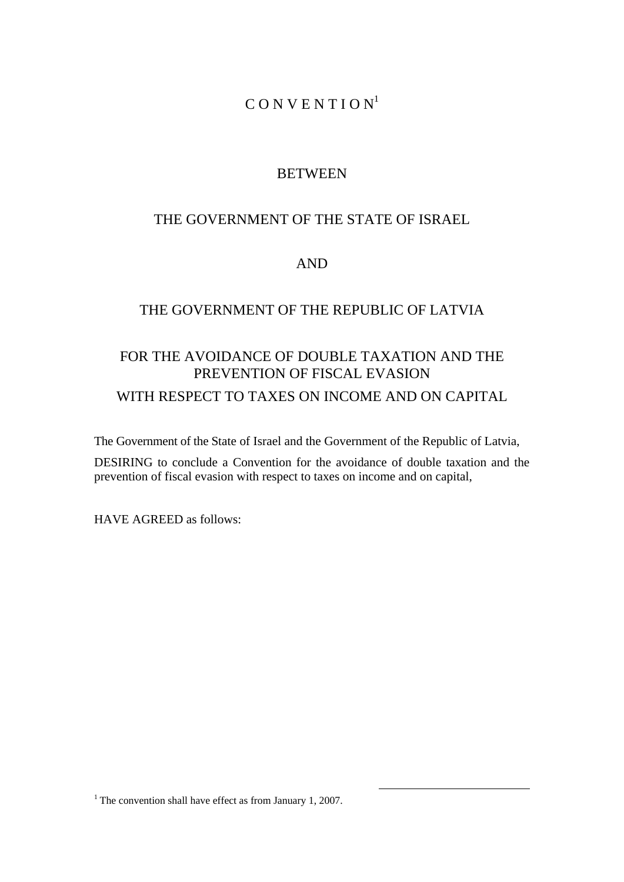# $C$  O N V E N T I O N<sup>1</sup>

# **BETWEEN**

# THE GOVERNMENT OF THE STATE OF ISRAEL

# AND

# THE GOVERNMENT OF THE REPUBLIC OF LATVIA

# FOR THE AVOIDANCE OF DOUBLE TAXATION AND THE PREVENTION OF FISCAL EVASION WITH RESPECT TO TAXES ON INCOME AND ON CAPITAL

The Government of the State of Israel and the Government of the Republic of Latvia,

DESIRING to conclude a Convention for the avoidance of double taxation and the prevention of fiscal evasion with respect to taxes on income and on capital,

HAVE AGREED as follows:

<sup>1</sup> The convention shall have effect as from January 1, 2007.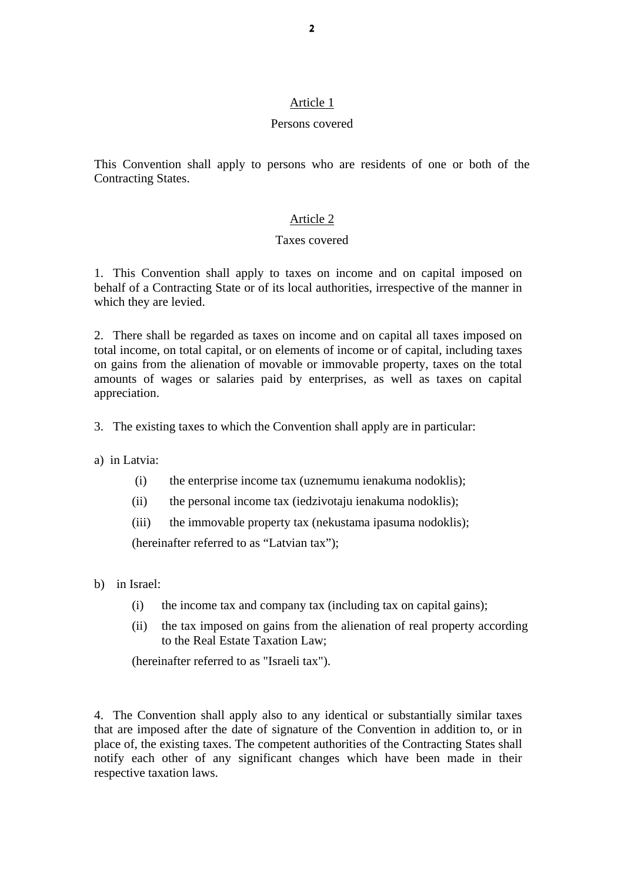### Persons covered

This Convention shall apply to persons who are residents of one or both of the Contracting States.

# Article 2

### Taxes covered

1. This Convention shall apply to taxes on income and on capital imposed on behalf of a Contracting State or of its local authorities, irrespective of the manner in which they are levied.

2. There shall be regarded as taxes on income and on capital all taxes imposed on total income, on total capital, or on elements of income or of capital, including taxes on gains from the alienation of movable or immovable property, taxes on the total amounts of wages or salaries paid by enterprises, as well as taxes on capital appreciation.

- 3. The existing taxes to which the Convention shall apply are in particular:
- a) in Latvia:
	- (i) the enterprise income tax (uznemumu ienakuma nodoklis);
	- (ii) the personal income tax (iedzivotaju ienakuma nodoklis);
	- (iii) the immovable property tax (nekustama ipasuma nodoklis);

(hereinafter referred to as "Latvian tax");

- b) in Israel:
	- (i) the income tax and company tax (including tax on capital gains);
	- (ii) the tax imposed on gains from the alienation of real property according to the Real Estate Taxation Law;

(hereinafter referred to as "Israeli tax").

4. The Convention shall apply also to any identical or substantially similar taxes that are imposed after the date of signature of the Convention in addition to, or in place of, the existing taxes. The competent authorities of the Contracting States shall notify each other of any significant changes which have been made in their respective taxation laws.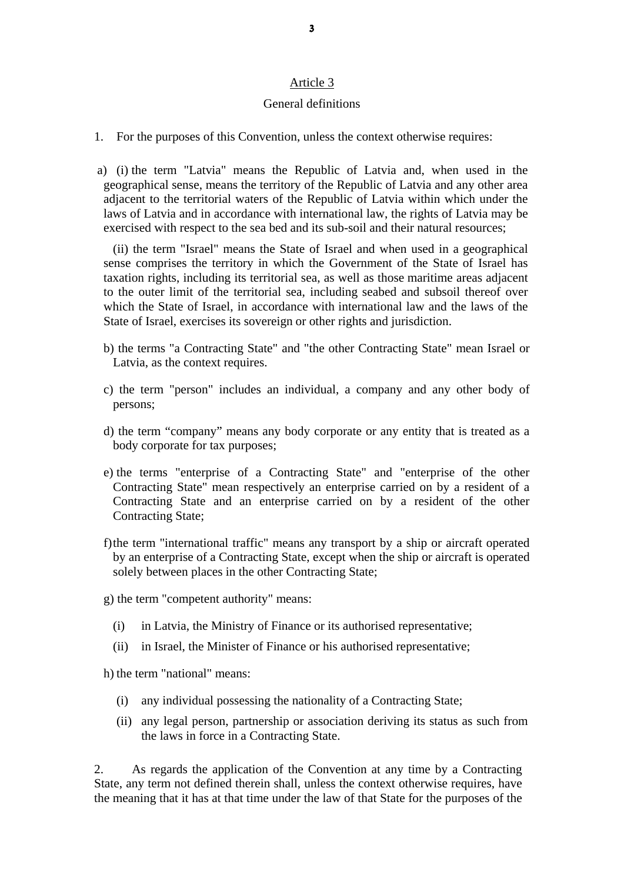#### General definitions

- 1. For the purposes of this Convention, unless the context otherwise requires:
- a) (i) the term "Latvia" means the Republic of Latvia and, when used in the geographical sense, means the territory of the Republic of Latvia and any other area adjacent to the territorial waters of the Republic of Latvia within which under the laws of Latvia and in accordance with international law, the rights of Latvia may be exercised with respect to the sea bed and its sub-soil and their natural resources;

(ii) the term "Israel" means the State of Israel and when used in a geographical sense comprises the territory in which the Government of the State of Israel has taxation rights, including its territorial sea, as well as those maritime areas adjacent to the outer limit of the territorial sea, including seabed and subsoil thereof over which the State of Israel, in accordance with international law and the laws of the State of Israel, exercises its sovereign or other rights and jurisdiction.

- b) the terms "a Contracting State" and "the other Contracting State" mean Israel or Latvia, as the context requires.
- c) the term "person" includes an individual, a company and any other body of persons;
- d) the term "company" means any body corporate or any entity that is treated as a body corporate for tax purposes;
- e) the terms "enterprise of a Contracting State" and "enterprise of the other Contracting State" mean respectively an enterprise carried on by a resident of a Contracting State and an enterprise carried on by a resident of the other Contracting State;
- f) the term "international traffic" means any transport by a ship or aircraft operated by an enterprise of a Contracting State, except when the ship or aircraft is operated solely between places in the other Contracting State;
- g) the term "competent authority" means:
	- (i) in Latvia, the Ministry of Finance or its authorised representative;
	- (ii) in Israel, the Minister of Finance or his authorised representative;

h) the term "national" means:

- (i) any individual possessing the nationality of a Contracting State;
- (ii) any legal person, partnership or association deriving its status as such from the laws in force in a Contracting State.

2. As regards the application of the Convention at any time by a Contracting State, any term not defined therein shall, unless the context otherwise requires, have the meaning that it has at that time under the law of that State for the purposes of the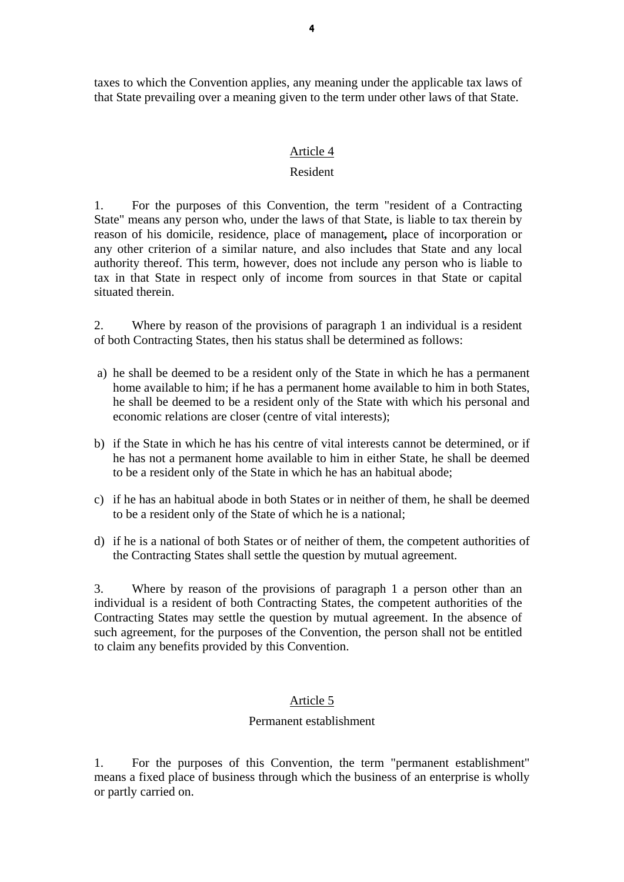taxes to which the Convention applies, any meaning under the applicable tax laws of that State prevailing over a meaning given to the term under other laws of that State.

#### Article 4

#### Resident

1. For the purposes of this Convention, the term "resident of a Contracting State" means any person who, under the laws of that State, is liable to tax therein by reason of his domicile, residence, place of management*,* place of incorporation or any other criterion of a similar nature, and also includes that State and any local authority thereof. This term, however, does not include any person who is liable to tax in that State in respect only of income from sources in that State or capital situated therein.

2. Where by reason of the provisions of paragraph 1 an individual is a resident of both Contracting States, then his status shall be determined as follows:

- a) he shall be deemed to be a resident only of the State in which he has a permanent home available to him; if he has a permanent home available to him in both States, he shall be deemed to be a resident only of the State with which his personal and economic relations are closer (centre of vital interests);
- b) if the State in which he has his centre of vital interests cannot be determined, or if he has not a permanent home available to him in either State, he shall be deemed to be a resident only of the State in which he has an habitual abode;
- c) if he has an habitual abode in both States or in neither of them, he shall be deemed to be a resident only of the State of which he is a national;
- d) if he is a national of both States or of neither of them, the competent authorities of the Contracting States shall settle the question by mutual agreement.

3. Where by reason of the provisions of paragraph 1 a person other than an individual is a resident of both Contracting States, the competent authorities of the Contracting States may settle the question by mutual agreement. In the absence of such agreement, for the purposes of the Convention, the person shall not be entitled to claim any benefits provided by this Convention.

### Article 5

#### Permanent establishment

1. For the purposes of this Convention, the term "permanent establishment" means a fixed place of business through which the business of an enterprise is wholly or partly carried on.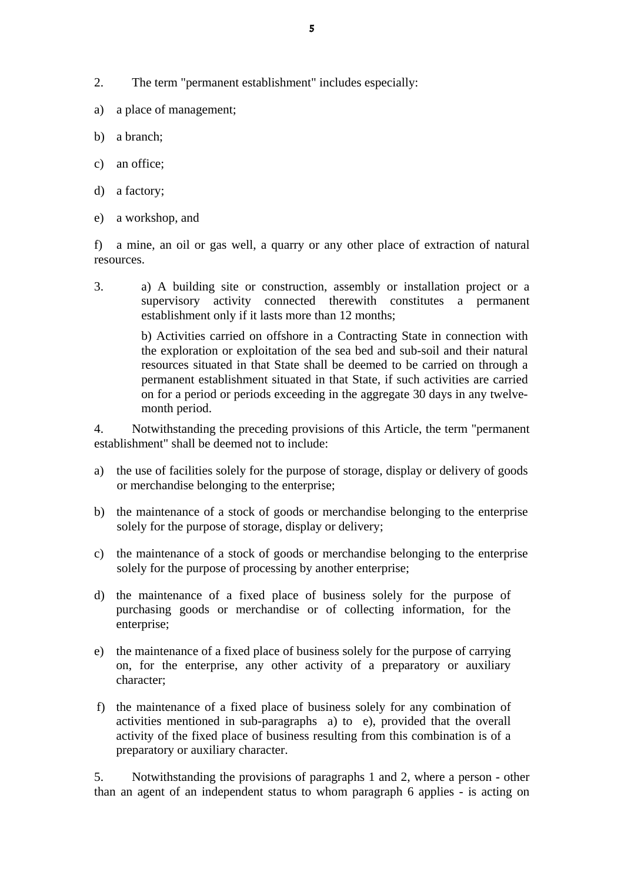- 2. The term "permanent establishment" includes especially:
- a) a place of management;
- b) a branch;
- c) an office;
- d) a factory;
- e) a workshop, and

f) a mine, an oil or gas well, a quarry or any other place of extraction of natural resources.

3. a) A building site or construction, assembly or installation project or a supervisory activity connected therewith constitutes a permanent establishment only if it lasts more than 12 months;

> b) Activities carried on offshore in a Contracting State in connection with the exploration or exploitation of the sea bed and sub-soil and their natural resources situated in that State shall be deemed to be carried on through a permanent establishment situated in that State, if such activities are carried on for a period or periods exceeding in the aggregate 30 days in any twelvemonth period.

4. Notwithstanding the preceding provisions of this Article, the term "permanent establishment" shall be deemed not to include:

- a) the use of facilities solely for the purpose of storage, display or delivery of goods or merchandise belonging to the enterprise;
- b) the maintenance of a stock of goods or merchandise belonging to the enterprise solely for the purpose of storage, display or delivery;
- c) the maintenance of a stock of goods or merchandise belonging to the enterprise solely for the purpose of processing by another enterprise;
- d) the maintenance of a fixed place of business solely for the purpose of purchasing goods or merchandise or of collecting information, for the enterprise;
- e) the maintenance of a fixed place of business solely for the purpose of carrying on, for the enterprise, any other activity of a preparatory or auxiliary character;
- f) the maintenance of a fixed place of business solely for any combination of activities mentioned in sub-paragraphs a) to e), provided that the overall activity of the fixed place of business resulting from this combination is of a preparatory or auxiliary character.

5. Notwithstanding the provisions of paragraphs 1 and 2, where a person - other than an agent of an independent status to whom paragraph 6 applies - is acting on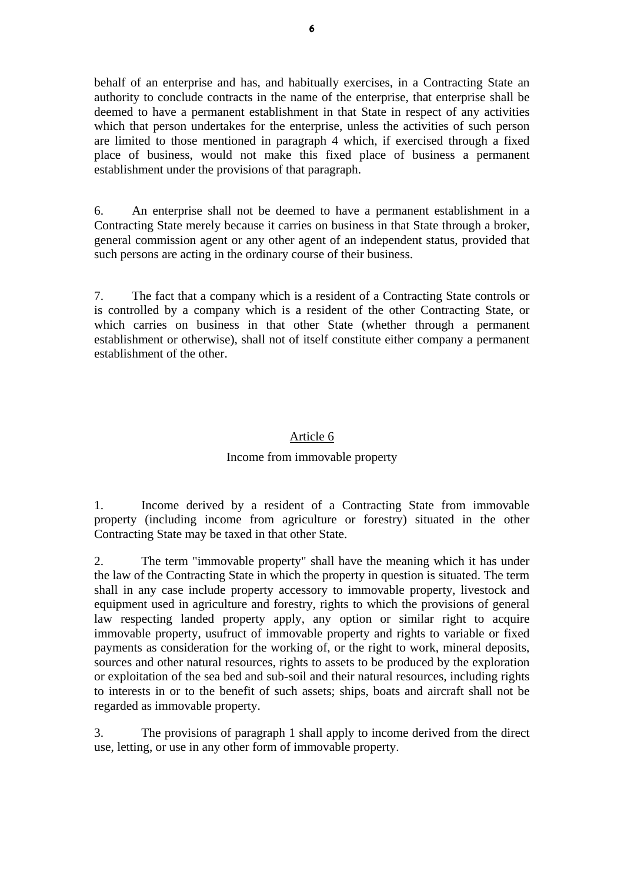behalf of an enterprise and has, and habitually exercises, in a Contracting State an authority to conclude contracts in the name of the enterprise, that enterprise shall be deemed to have a permanent establishment in that State in respect of any activities which that person undertakes for the enterprise, unless the activities of such person are limited to those mentioned in paragraph 4 which, if exercised through a fixed place of business, would not make this fixed place of business a permanent establishment under the provisions of that paragraph.

6. An enterprise shall not be deemed to have a permanent establishment in a Contracting State merely because it carries on business in that State through a broker, general commission agent or any other agent of an independent status, provided that such persons are acting in the ordinary course of their business.

7. The fact that a company which is a resident of a Contracting State controls or is controlled by a company which is a resident of the other Contracting State, or which carries on business in that other State (whether through a permanent establishment or otherwise), shall not of itself constitute either company a permanent establishment of the other.

### Article 6

### Income from immovable property

1. Income derived by a resident of a Contracting State from immovable property (including income from agriculture or forestry) situated in the other Contracting State may be taxed in that other State.

2. The term "immovable property" shall have the meaning which it has under the law of the Contracting State in which the property in question is situated. The term shall in any case include property accessory to immovable property, livestock and equipment used in agriculture and forestry, rights to which the provisions of general law respecting landed property apply, any option or similar right to acquire immovable property, usufruct of immovable property and rights to variable or fixed payments as consideration for the working of, or the right to work, mineral deposits, sources and other natural resources, rights to assets to be produced by the exploration or exploitation of the sea bed and sub-soil and their natural resources, including rights to interests in or to the benefit of such assets; ships, boats and aircraft shall not be regarded as immovable property.

3. The provisions of paragraph 1 shall apply to income derived from the direct use, letting, or use in any other form of immovable property.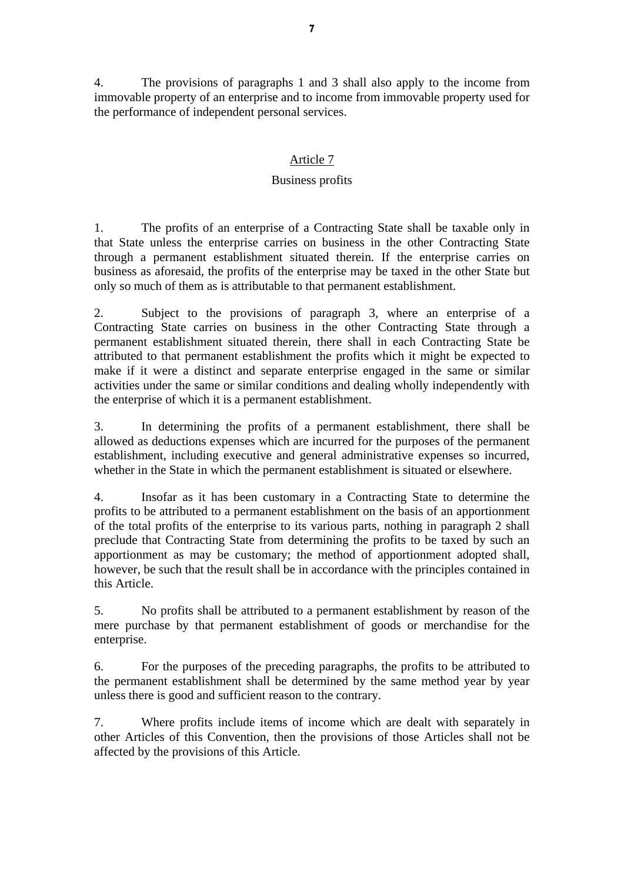4. The provisions of paragraphs 1 and 3 shall also apply to the income from immovable property of an enterprise and to income from immovable property used for the performance of independent personal services.

# Article 7

# Business profits

1. The profits of an enterprise of a Contracting State shall be taxable only in that State unless the enterprise carries on business in the other Contracting State through a permanent establishment situated therein. If the enterprise carries on business as aforesaid, the profits of the enterprise may be taxed in the other State but only so much of them as is attributable to that permanent establishment.

2. Subject to the provisions of paragraph 3, where an enterprise of a Contracting State carries on business in the other Contracting State through a permanent establishment situated therein, there shall in each Contracting State be attributed to that permanent establishment the profits which it might be expected to make if it were a distinct and separate enterprise engaged in the same or similar activities under the same or similar conditions and dealing wholly independently with the enterprise of which it is a permanent establishment.

3. In determining the profits of a permanent establishment, there shall be allowed as deductions expenses which are incurred for the purposes of the permanent establishment, including executive and general administrative expenses so incurred, whether in the State in which the permanent establishment is situated or elsewhere.

4. Insofar as it has been customary in a Contracting State to determine the profits to be attributed to a permanent establishment on the basis of an apportionment of the total profits of the enterprise to its various parts, nothing in paragraph 2 shall preclude that Contracting State from determining the profits to be taxed by such an apportionment as may be customary; the method of apportionment adopted shall, however, be such that the result shall be in accordance with the principles contained in this Article.

5. No profits shall be attributed to a permanent establishment by reason of the mere purchase by that permanent establishment of goods or merchandise for the enterprise.

6. For the purposes of the preceding paragraphs, the profits to be attributed to the permanent establishment shall be determined by the same method year by year unless there is good and sufficient reason to the contrary.

7. Where profits include items of income which are dealt with separately in other Articles of this Convention, then the provisions of those Articles shall not be affected by the provisions of this Article.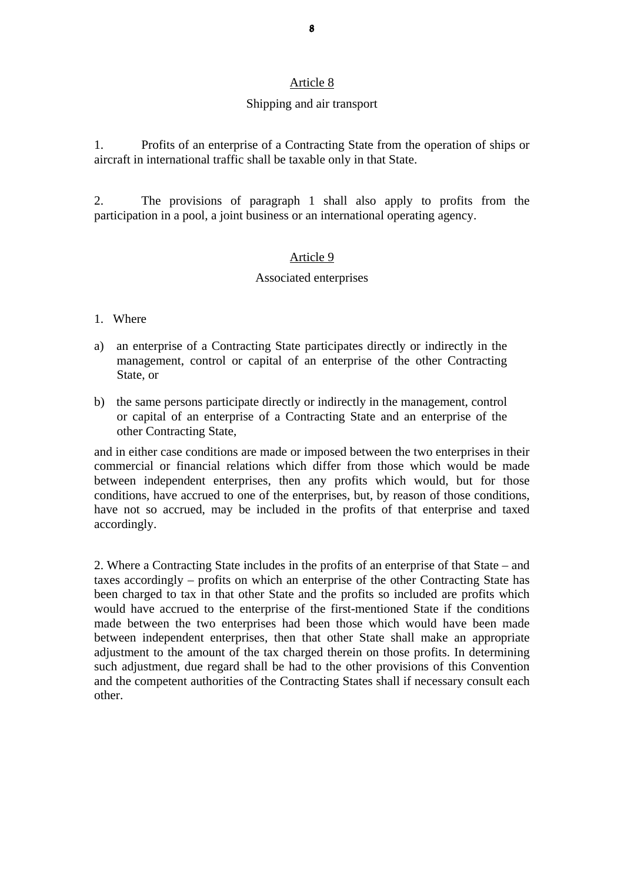#### Shipping and air transport

1. Profits of an enterprise of a Contracting State from the operation of ships or aircraft in international traffic shall be taxable only in that State.

2. The provisions of paragraph 1 shall also apply to profits from the participation in a pool, a joint business or an international operating agency.

#### Article 9

#### Associated enterprises

#### 1. Where

- a) an enterprise of a Contracting State participates directly or indirectly in the management, control or capital of an enterprise of the other Contracting State, or
- b) the same persons participate directly or indirectly in the management, control or capital of an enterprise of a Contracting State and an enterprise of the other Contracting State,

and in either case conditions are made or imposed between the two enterprises in their commercial or financial relations which differ from those which would be made between independent enterprises, then any profits which would, but for those conditions, have accrued to one of the enterprises, but, by reason of those conditions, have not so accrued, may be included in the profits of that enterprise and taxed accordingly.

2. Where a Contracting State includes in the profits of an enterprise of that State – and taxes accordingly – profits on which an enterprise of the other Contracting State has been charged to tax in that other State and the profits so included are profits which would have accrued to the enterprise of the first-mentioned State if the conditions made between the two enterprises had been those which would have been made between independent enterprises, then that other State shall make an appropriate adjustment to the amount of the tax charged therein on those profits. In determining such adjustment, due regard shall be had to the other provisions of this Convention and the competent authorities of the Contracting States shall if necessary consult each other.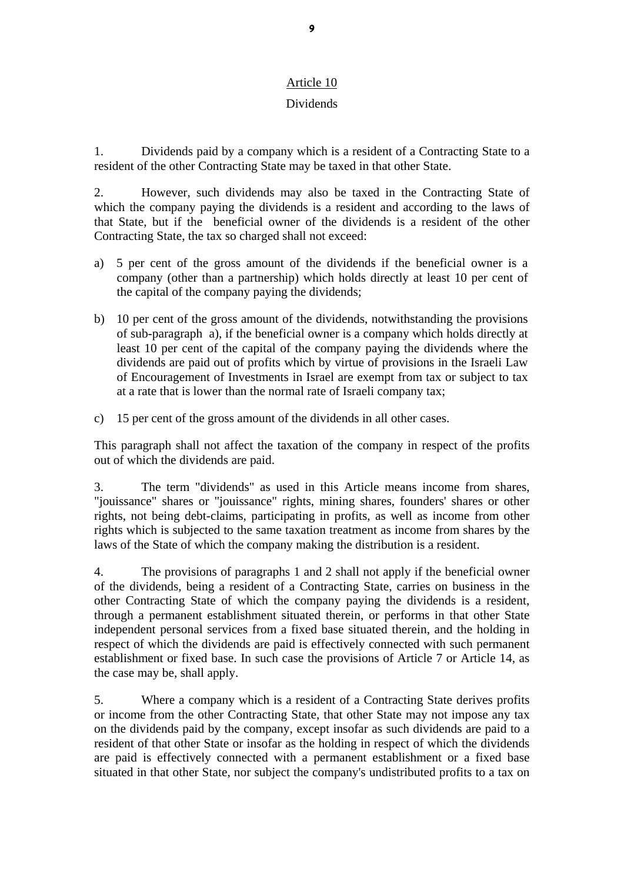# Dividends

1. Dividends paid by a company which is a resident of a Contracting State to a resident of the other Contracting State may be taxed in that other State.

2. However, such dividends may also be taxed in the Contracting State of which the company paying the dividends is a resident and according to the laws of that State, but if the beneficial owner of the dividends is a resident of the other Contracting State, the tax so charged shall not exceed:

- a) 5 per cent of the gross amount of the dividends if the beneficial owner is a company (other than a partnership) which holds directly at least 10 per cent of the capital of the company paying the dividends;
- b) 10 per cent of the gross amount of the dividends, notwithstanding the provisions of sub-paragraph a), if the beneficial owner is a company which holds directly at least 10 per cent of the capital of the company paying the dividends where the dividends are paid out of profits which by virtue of provisions in the Israeli Law of Encouragement of Investments in Israel are exempt from tax or subject to tax at a rate that is lower than the normal rate of Israeli company tax;
- c) 15 per cent of the gross amount of the dividends in all other cases.

This paragraph shall not affect the taxation of the company in respect of the profits out of which the dividends are paid.

3. The term "dividends" as used in this Article means income from shares, "jouissance" shares or "jouissance" rights, mining shares, founders' shares or other rights, not being debt-claims, participating in profits, as well as income from other rights which is subjected to the same taxation treatment as income from shares by the laws of the State of which the company making the distribution is a resident.

4. The provisions of paragraphs 1 and 2 shall not apply if the beneficial owner of the dividends, being a resident of a Contracting State, carries on business in the other Contracting State of which the company paying the dividends is a resident, through a permanent establishment situated therein, or performs in that other State independent personal services from a fixed base situated therein, and the holding in respect of which the dividends are paid is effectively connected with such permanent establishment or fixed base. In such case the provisions of Article 7 or Article 14, as the case may be, shall apply.

5. Where a company which is a resident of a Contracting State derives profits or income from the other Contracting State, that other State may not impose any tax on the dividends paid by the company, except insofar as such dividends are paid to a resident of that other State or insofar as the holding in respect of which the dividends are paid is effectively connected with a permanent establishment or a fixed base situated in that other State, nor subject the company's undistributed profits to a tax on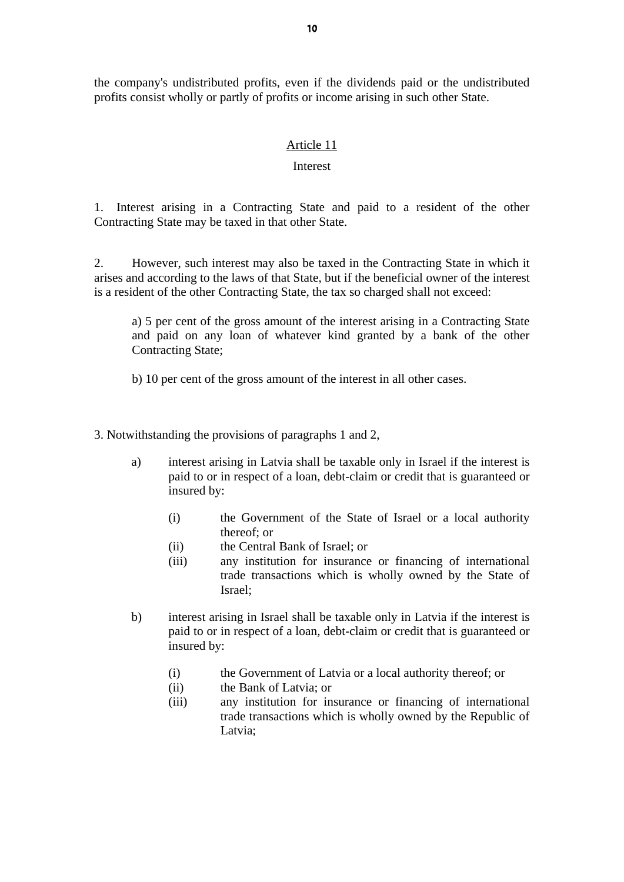the company's undistributed profits, even if the dividends paid or the undistributed profits consist wholly or partly of profits or income arising in such other State.

#### Article 11

#### Interest

1. Interest arising in a Contracting State and paid to a resident of the other Contracting State may be taxed in that other State.

2. However, such interest may also be taxed in the Contracting State in which it arises and according to the laws of that State, but if the beneficial owner of the interest is a resident of the other Contracting State, the tax so charged shall not exceed:

a) 5 per cent of the gross amount of the interest arising in a Contracting State and paid on any loan of whatever kind granted by a bank of the other Contracting State;

b) 10 per cent of the gross amount of the interest in all other cases.

3. Notwithstanding the provisions of paragraphs 1 and 2,

- a) interest arising in Latvia shall be taxable only in Israel if the interest is paid to or in respect of a loan, debt-claim or credit that is guaranteed or insured by:
	- (i) the Government of the State of Israel or a local authority thereof; or
	- (ii) the Central Bank of Israel; or
	- (iii) any institution for insurance or financing of international trade transactions which is wholly owned by the State of Israel;
- b) interest arising in Israel shall be taxable only in Latvia if the interest is paid to or in respect of a loan, debt-claim or credit that is guaranteed or insured by:
	- (i) the Government of Latvia or a local authority thereof; or
	- (ii) the Bank of Latvia; or
	- (iii) any institution for insurance or financing of international trade transactions which is wholly owned by the Republic of Latvia;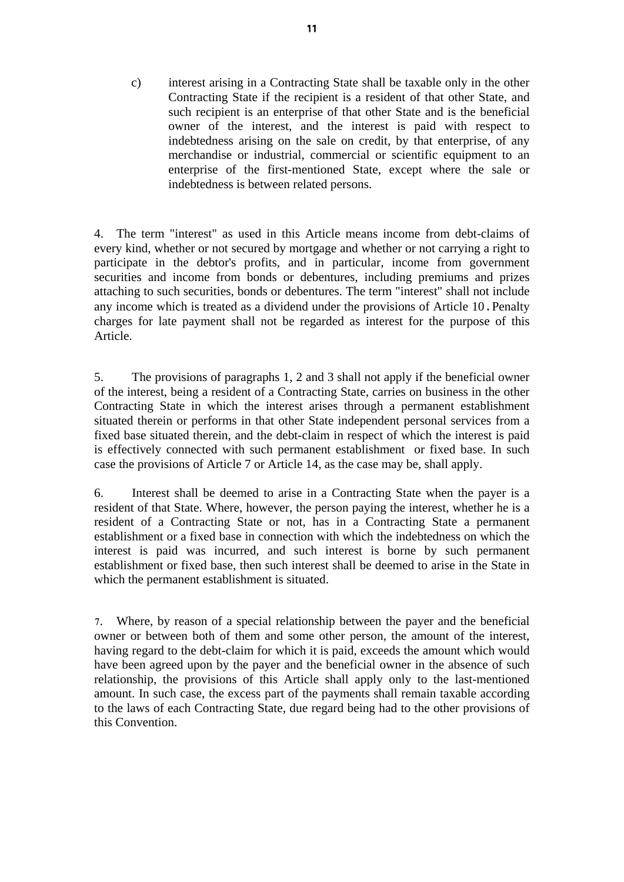c) interest arising in a Contracting State shall be taxable only in the other Contracting State if the recipient is a resident of that other State, and such recipient is an enterprise of that other State and is the beneficial owner of the interest, and the interest is paid with respect to indebtedness arising on the sale on credit, by that enterprise, of any merchandise or industrial, commercial or scientific equipment to an enterprise of the first-mentioned State, except where the sale or indebtedness is between related persons.

4. The term "interest" as used in this Article means income from debt-claims of every kind, whether or not secured by mortgage and whether or not carrying a right to participate in the debtor's profits, and in particular, income from government securities and income from bonds or debentures, including premiums and prizes attaching to such securities, bonds or debentures. The term "interest" shall not include any income which is treated as a dividend under the provisions of Article 10.Penalty charges for late payment shall not be regarded as interest for the purpose of this Article.

5. The provisions of paragraphs 1, 2 and 3 shall not apply if the beneficial owner of the interest, being a resident of a Contracting State, carries on business in the other Contracting State in which the interest arises through a permanent establishment situated therein or performs in that other State independent personal services from a fixed base situated therein, and the debt-claim in respect of which the interest is paid is effectively connected with such permanent establishment or fixed base. In such case the provisions of Article 7 or Article 14, as the case may be, shall apply.

6. Interest shall be deemed to arise in a Contracting State when the payer is a resident of that State. Where, however, the person paying the interest, whether he is a resident of a Contracting State or not, has in a Contracting State a permanent establishment or a fixed base in connection with which the indebtedness on which the interest is paid was incurred, and such interest is borne by such permanent establishment or fixed base, then such interest shall be deemed to arise in the State in which the permanent establishment is situated.

7. Where, by reason of a special relationship between the payer and the beneficial owner or between both of them and some other person, the amount of the interest, having regard to the debt-claim for which it is paid, exceeds the amount which would have been agreed upon by the payer and the beneficial owner in the absence of such relationship, the provisions of this Article shall apply only to the last-mentioned amount. In such case, the excess part of the payments shall remain taxable according to the laws of each Contracting State, due regard being had to the other provisions of this Convention.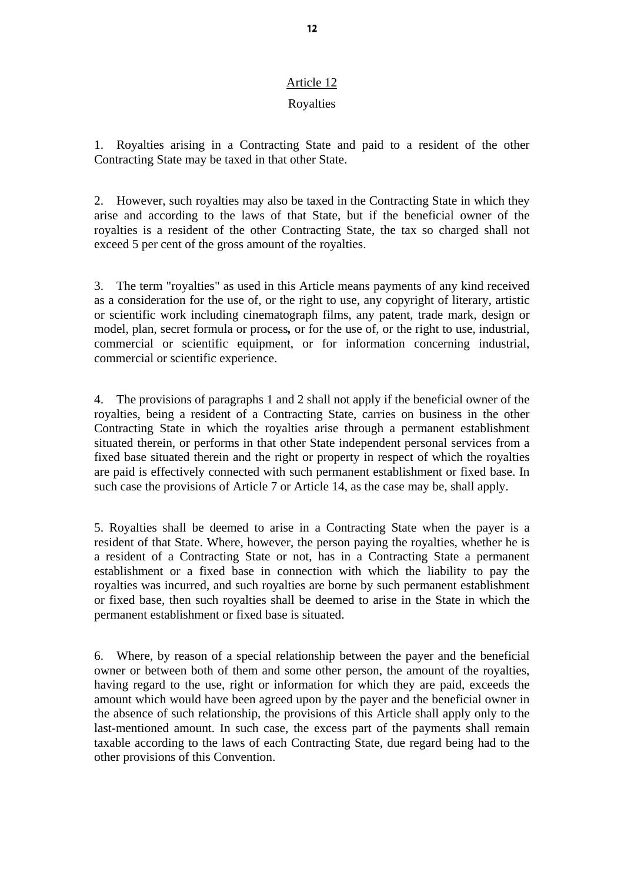## Royalties

1. Royalties arising in a Contracting State and paid to a resident of the other Contracting State may be taxed in that other State.

2. However, such royalties may also be taxed in the Contracting State in which they arise and according to the laws of that State, but if the beneficial owner of the royalties is a resident of the other Contracting State, the tax so charged shall not exceed 5 per cent of the gross amount of the royalties.

3. The term "royalties" as used in this Article means payments of any kind received as a consideration for the use of, or the right to use, any copyright of literary, artistic or scientific work including cinematograph films, any patent, trade mark, design or model, plan, secret formula or process*,* or for the use of, or the right to use, industrial, commercial or scientific equipment, or for information concerning industrial, commercial or scientific experience.

4. The provisions of paragraphs 1 and 2 shall not apply if the beneficial owner of the royalties, being a resident of a Contracting State, carries on business in the other Contracting State in which the royalties arise through a permanent establishment situated therein, or performs in that other State independent personal services from a fixed base situated therein and the right or property in respect of which the royalties are paid is effectively connected with such permanent establishment or fixed base. In such case the provisions of Article 7 or Article 14, as the case may be, shall apply.

5. Royalties shall be deemed to arise in a Contracting State when the payer is a resident of that State. Where, however, the person paying the royalties, whether he is a resident of a Contracting State or not, has in a Contracting State a permanent establishment or a fixed base in connection with which the liability to pay the royalties was incurred, and such royalties are borne by such permanent establishment or fixed base, then such royalties shall be deemed to arise in the State in which the permanent establishment or fixed base is situated.

6. Where, by reason of a special relationship between the payer and the beneficial owner or between both of them and some other person, the amount of the royalties, having regard to the use, right or information for which they are paid, exceeds the amount which would have been agreed upon by the payer and the beneficial owner in the absence of such relationship, the provisions of this Article shall apply only to the last-mentioned amount. In such case, the excess part of the payments shall remain taxable according to the laws of each Contracting State, due regard being had to the other provisions of this Convention.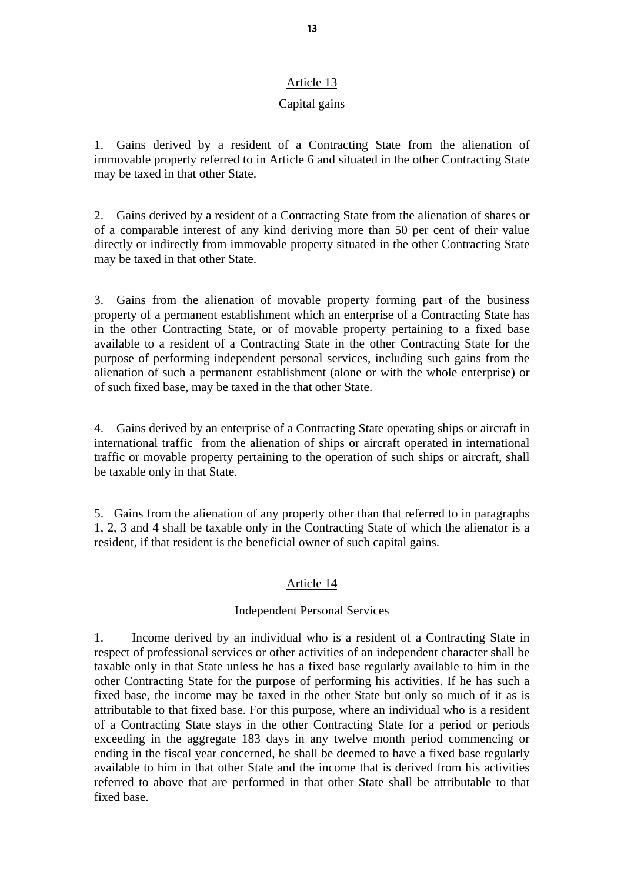### Capital gains

1. Gains derived by a resident of a Contracting State from the alienation of immovable property referred to in Article 6 and situated in the other Contracting State may be taxed in that other State.

2. Gains derived by a resident of a Contracting State from the alienation of shares or of a comparable interest of any kind deriving more than 50 per cent of their value directly or indirectly from immovable property situated in the other Contracting State may be taxed in that other State.

3. Gains from the alienation of movable property forming part of the business property of a permanent establishment which an enterprise of a Contracting State has in the other Contracting State, or of movable property pertaining to a fixed base available to a resident of a Contracting State in the other Contracting State for the purpose of performing independent personal services, including such gains from the alienation of such a permanent establishment (alone or with the whole enterprise) or of such fixed base, may be taxed in the that other State.

4. Gains derived by an enterprise of a Contracting State operating ships or aircraft in international traffic from the alienation of ships or aircraft operated in international traffic or movable property pertaining to the operation of such ships or aircraft, shall be taxable only in that State.

5. Gains from the alienation of any property other than that referred to in paragraphs 1, 2, 3 and 4 shall be taxable only in the Contracting State of which the alienator is a resident, if that resident is the beneficial owner of such capital gains.

### Article 14

### Independent Personal Services

1. Income derived by an individual who is a resident of a Contracting State in respect of professional services or other activities of an independent character shall be taxable only in that State unless he has a fixed base regularly available to him in the other Contracting State for the purpose of performing his activities. If he has such a fixed base, the income may be taxed in the other State but only so much of it as is attributable to that fixed base. For this purpose, where an individual who is a resident of a Contracting State stays in the other Contracting State for a period or periods exceeding in the aggregate 183 days in any twelve month period commencing or ending in the fiscal year concerned, he shall be deemed to have a fixed base regularly available to him in that other State and the income that is derived from his activities referred to above that are performed in that other State shall be attributable to that fixed base.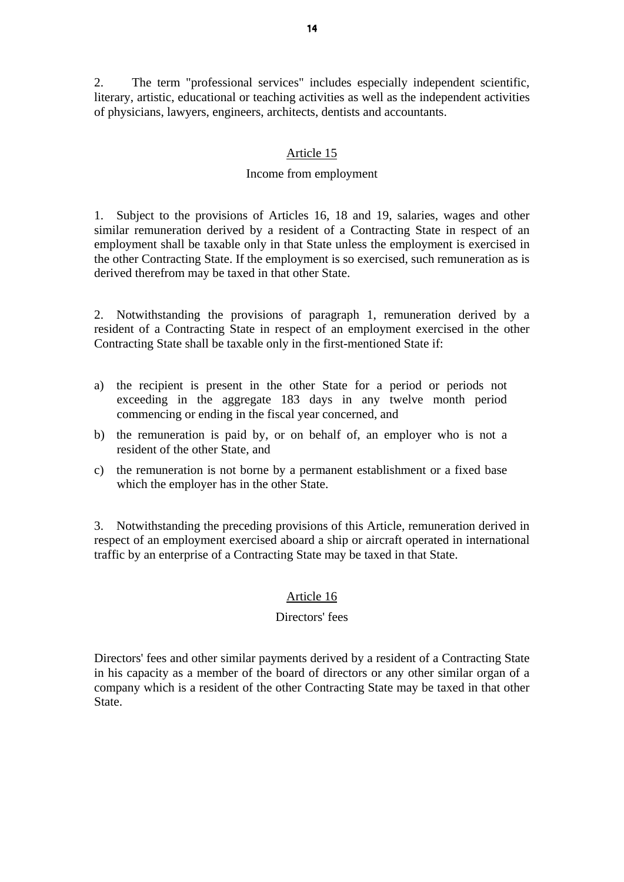2. The term "professional services" includes especially independent scientific, literary, artistic, educational or teaching activities as well as the independent activities of physicians, lawyers, engineers, architects, dentists and accountants.

#### Article 15

#### Income from employment

1. Subject to the provisions of Articles 16, 18 and 19, salaries, wages and other similar remuneration derived by a resident of a Contracting State in respect of an employment shall be taxable only in that State unless the employment is exercised in the other Contracting State. If the employment is so exercised, such remuneration as is derived therefrom may be taxed in that other State.

2. Notwithstanding the provisions of paragraph 1, remuneration derived by a resident of a Contracting State in respect of an employment exercised in the other Contracting State shall be taxable only in the first-mentioned State if:

- a) the recipient is present in the other State for a period or periods not exceeding in the aggregate 183 days in any twelve month period commencing or ending in the fiscal year concerned, and
- b) the remuneration is paid by, or on behalf of, an employer who is not a resident of the other State, and
- c) the remuneration is not borne by a permanent establishment or a fixed base which the employer has in the other State.

3. Notwithstanding the preceding provisions of this Article, remuneration derived in respect of an employment exercised aboard a ship or aircraft operated in international traffic by an enterprise of a Contracting State may be taxed in that State.

#### Article 16

# Directors' fees

Directors' fees and other similar payments derived by a resident of a Contracting State in his capacity as a member of the board of directors or any other similar organ of a company which is a resident of the other Contracting State may be taxed in that other State.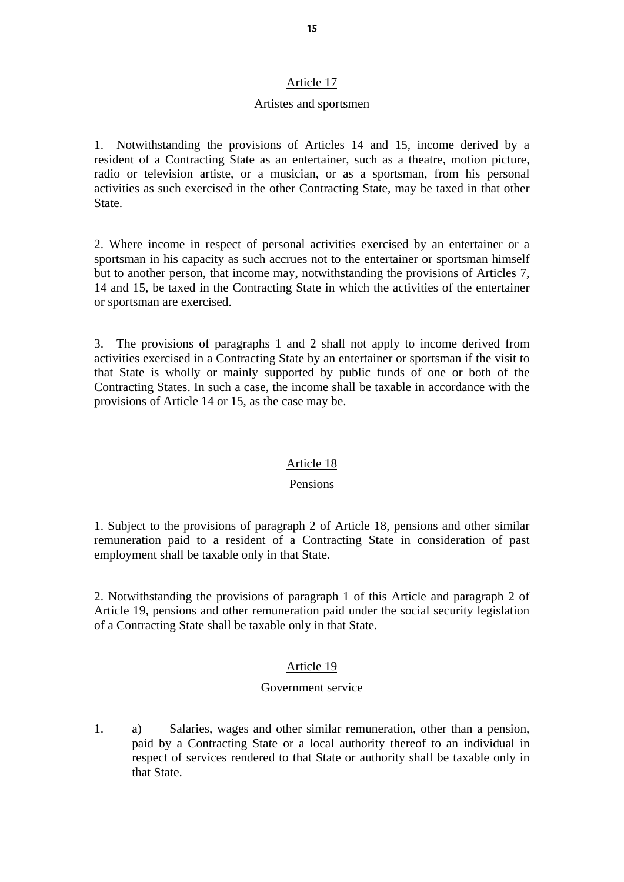#### Artistes and sportsmen

1. Notwithstanding the provisions of Articles 14 and 15, income derived by a resident of a Contracting State as an entertainer, such as a theatre, motion picture, radio or television artiste, or a musician, or as a sportsman, from his personal activities as such exercised in the other Contracting State, may be taxed in that other State.

2. Where income in respect of personal activities exercised by an entertainer or a sportsman in his capacity as such accrues not to the entertainer or sportsman himself but to another person, that income may, notwithstanding the provisions of Articles 7, 14 and 15, be taxed in the Contracting State in which the activities of the entertainer or sportsman are exercised.

3. The provisions of paragraphs 1 and 2 shall not apply to income derived from activities exercised in a Contracting State by an entertainer or sportsman if the visit to that State is wholly or mainly supported by public funds of one or both of the Contracting States. In such a case, the income shall be taxable in accordance with the provisions of Article 14 or 15, as the case may be.

#### Article 18

### Pensions

1. Subject to the provisions of paragraph 2 of Article 18, pensions and other similar remuneration paid to a resident of a Contracting State in consideration of past employment shall be taxable only in that State.

2. Notwithstanding the provisions of paragraph 1 of this Article and paragraph 2 of Article 19, pensions and other remuneration paid under the social security legislation of a Contracting State shall be taxable only in that State.

### Article 19

#### Government service

1. a) Salaries, wages and other similar remuneration, other than a pension, paid by a Contracting State or a local authority thereof to an individual in respect of services rendered to that State or authority shall be taxable only in that State.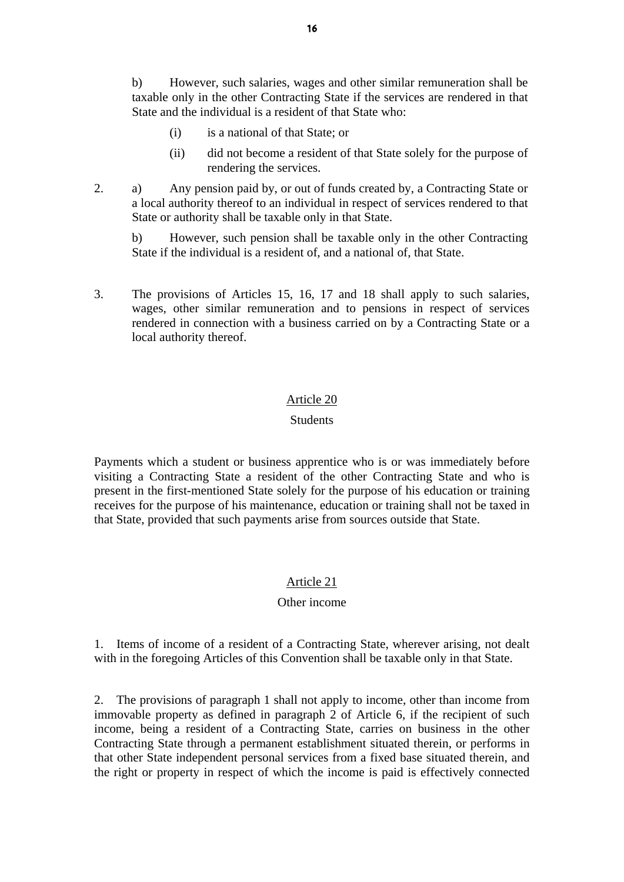b) However, such salaries, wages and other similar remuneration shall be taxable only in the other Contracting State if the services are rendered in that State and the individual is a resident of that State who:

- (i) is a national of that State; or
- (ii) did not become a resident of that State solely for the purpose of rendering the services.
- 2. a) Any pension paid by, or out of funds created by, a Contracting State or a local authority thereof to an individual in respect of services rendered to that State or authority shall be taxable only in that State.

 b) However, such pension shall be taxable only in the other Contracting State if the individual is a resident of, and a national of, that State.

3. The provisions of Articles 15, 16, 17 and 18 shall apply to such salaries, wages, other similar remuneration and to pensions in respect of services rendered in connection with a business carried on by a Contracting State or a local authority thereof.

#### Article 20

#### **Students**

Payments which a student or business apprentice who is or was immediately before visiting a Contracting State a resident of the other Contracting State and who is present in the first-mentioned State solely for the purpose of his education or training receives for the purpose of his maintenance, education or training shall not be taxed in that State, provided that such payments arise from sources outside that State.

### Article 21

#### Other income

1. Items of income of a resident of a Contracting State, wherever arising, not dealt with in the foregoing Articles of this Convention shall be taxable only in that State.

2. The provisions of paragraph 1 shall not apply to income, other than income from immovable property as defined in paragraph 2 of Article 6, if the recipient of such income, being a resident of a Contracting State, carries on business in the other Contracting State through a permanent establishment situated therein, or performs in that other State independent personal services from a fixed base situated therein, and the right or property in respect of which the income is paid is effectively connected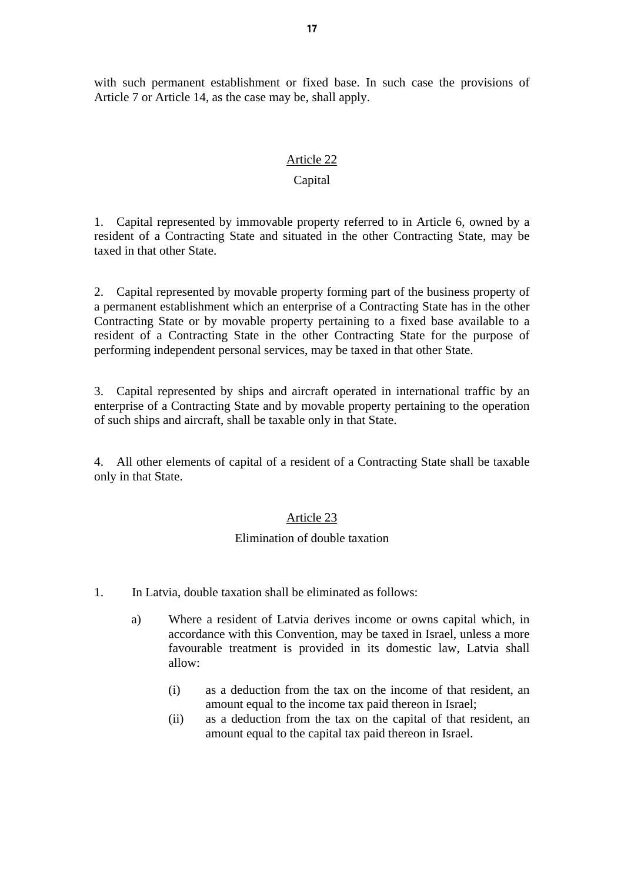with such permanent establishment or fixed base. In such case the provisions of Article 7 or Article 14, as the case may be, shall apply.

#### Article 22

## Capital

1. Capital represented by immovable property referred to in Article 6, owned by a resident of a Contracting State and situated in the other Contracting State, may be taxed in that other State.

2. Capital represented by movable property forming part of the business property of a permanent establishment which an enterprise of a Contracting State has in the other Contracting State or by movable property pertaining to a fixed base available to a resident of a Contracting State in the other Contracting State for the purpose of performing independent personal services, may be taxed in that other State.

3. Capital represented by ships and aircraft operated in international traffic by an enterprise of a Contracting State and by movable property pertaining to the operation of such ships and aircraft, shall be taxable only in that State.

4. All other elements of capital of a resident of a Contracting State shall be taxable only in that State.

#### Article 23

#### Elimination of double taxation

- 1. In Latvia, double taxation shall be eliminated as follows:
	- a) Where a resident of Latvia derives income or owns capital which, in accordance with this Convention, may be taxed in Israel, unless a more favourable treatment is provided in its domestic law, Latvia shall allow:
		- (i) as a deduction from the tax on the income of that resident, an amount equal to the income tax paid thereon in Israel;
		- (ii) as a deduction from the tax on the capital of that resident, an amount equal to the capital tax paid thereon in Israel.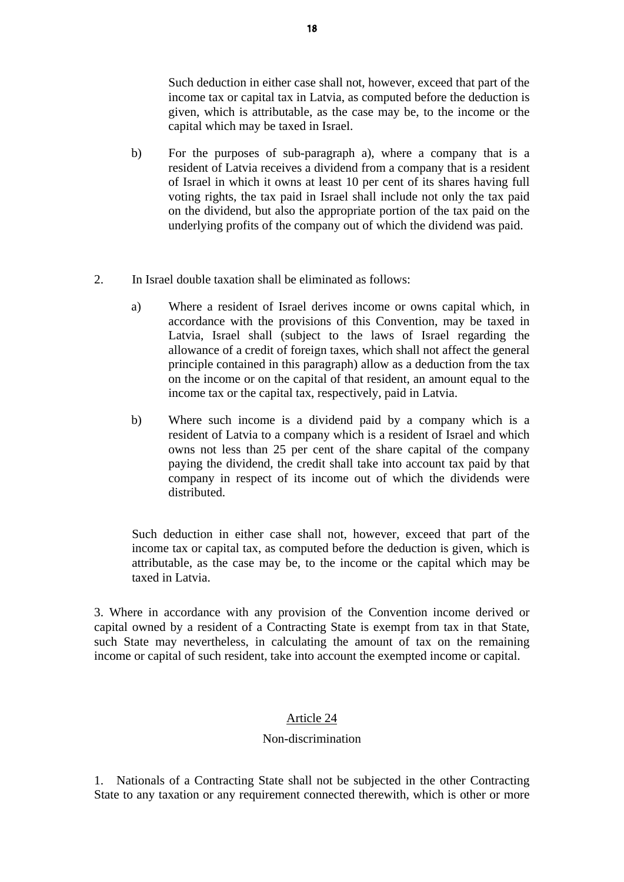Such deduction in either case shall not, however, exceed that part of the income tax or capital tax in Latvia, as computed before the deduction is given, which is attributable, as the case may be, to the income or the capital which may be taxed in Israel.

- b) For the purposes of sub-paragraph a), where a company that is a resident of Latvia receives a dividend from a company that is a resident of Israel in which it owns at least 10 per cent of its shares having full voting rights, the tax paid in Israel shall include not only the tax paid on the dividend, but also the appropriate portion of the tax paid on the underlying profits of the company out of which the dividend was paid.
- 2. In Israel double taxation shall be eliminated as follows:
	- a) Where a resident of Israel derives income or owns capital which, in accordance with the provisions of this Convention, may be taxed in Latvia, Israel shall (subject to the laws of Israel regarding the allowance of a credit of foreign taxes, which shall not affect the general principle contained in this paragraph) allow as a deduction from the tax on the income or on the capital of that resident, an amount equal to the income tax or the capital tax, respectively, paid in Latvia.
	- b) Where such income is a dividend paid by a company which is a resident of Latvia to a company which is a resident of Israel and which owns not less than 25 per cent of the share capital of the company paying the dividend, the credit shall take into account tax paid by that company in respect of its income out of which the dividends were distributed.

Such deduction in either case shall not, however, exceed that part of the income tax or capital tax, as computed before the deduction is given, which is attributable, as the case may be, to the income or the capital which may be taxed in Latvia.

3. Where in accordance with any provision of the Convention income derived or capital owned by a resident of a Contracting State is exempt from tax in that State, such State may nevertheless, in calculating the amount of tax on the remaining income or capital of such resident, take into account the exempted income or capital.

# Article 24

### Non-discrimination

1. Nationals of a Contracting State shall not be subjected in the other Contracting State to any taxation or any requirement connected therewith, which is other or more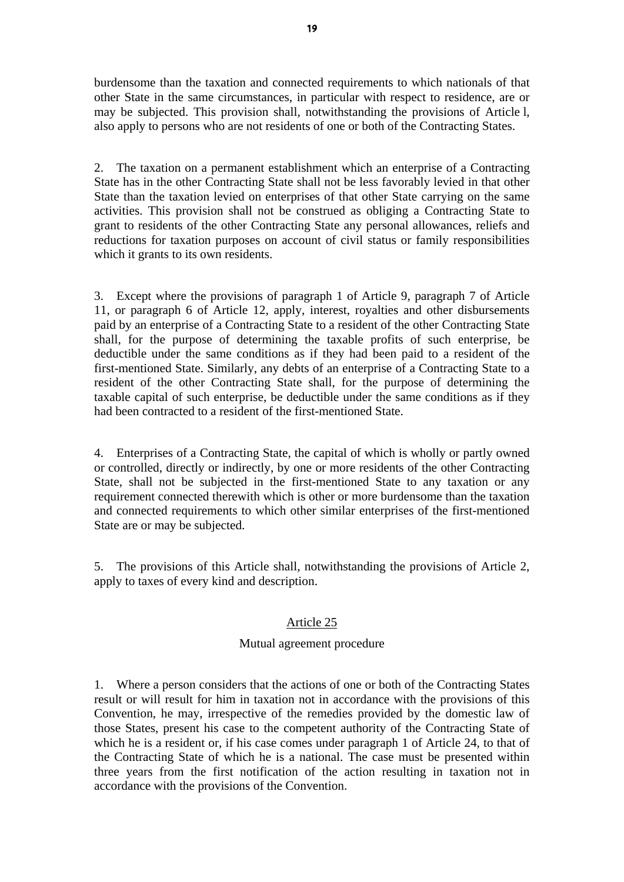burdensome than the taxation and connected requirements to which nationals of that other State in the same circumstances, in particular with respect to residence, are or may be subjected. This provision shall, notwithstanding the provisions of Article l, also apply to persons who are not residents of one or both of the Contracting States.

2. The taxation on a permanent establishment which an enterprise of a Contracting State has in the other Contracting State shall not be less favorably levied in that other State than the taxation levied on enterprises of that other State carrying on the same activities. This provision shall not be construed as obliging a Contracting State to grant to residents of the other Contracting State any personal allowances, reliefs and reductions for taxation purposes on account of civil status or family responsibilities which it grants to its own residents.

3. Except where the provisions of paragraph 1 of Article 9, paragraph 7 of Article 11, or paragraph 6 of Article 12, apply, interest, royalties and other disbursements paid by an enterprise of a Contracting State to a resident of the other Contracting State shall, for the purpose of determining the taxable profits of such enterprise, be deductible under the same conditions as if they had been paid to a resident of the first-mentioned State. Similarly, any debts of an enterprise of a Contracting State to a resident of the other Contracting State shall, for the purpose of determining the taxable capital of such enterprise, be deductible under the same conditions as if they had been contracted to a resident of the first-mentioned State.

4. Enterprises of a Contracting State, the capital of which is wholly or partly owned or controlled, directly or indirectly, by one or more residents of the other Contracting State, shall not be subjected in the first-mentioned State to any taxation or any requirement connected therewith which is other or more burdensome than the taxation and connected requirements to which other similar enterprises of the first-mentioned State are or may be subjected.

5. The provisions of this Article shall, notwithstanding the provisions of Article 2, apply to taxes of every kind and description.

# Article 25

### Mutual agreement procedure

1. Where a person considers that the actions of one or both of the Contracting States result or will result for him in taxation not in accordance with the provisions of this Convention, he may, irrespective of the remedies provided by the domestic law of those States, present his case to the competent authority of the Contracting State of which he is a resident or, if his case comes under paragraph 1 of Article 24, to that of the Contracting State of which he is a national. The case must be presented within three years from the first notification of the action resulting in taxation not in accordance with the provisions of the Convention.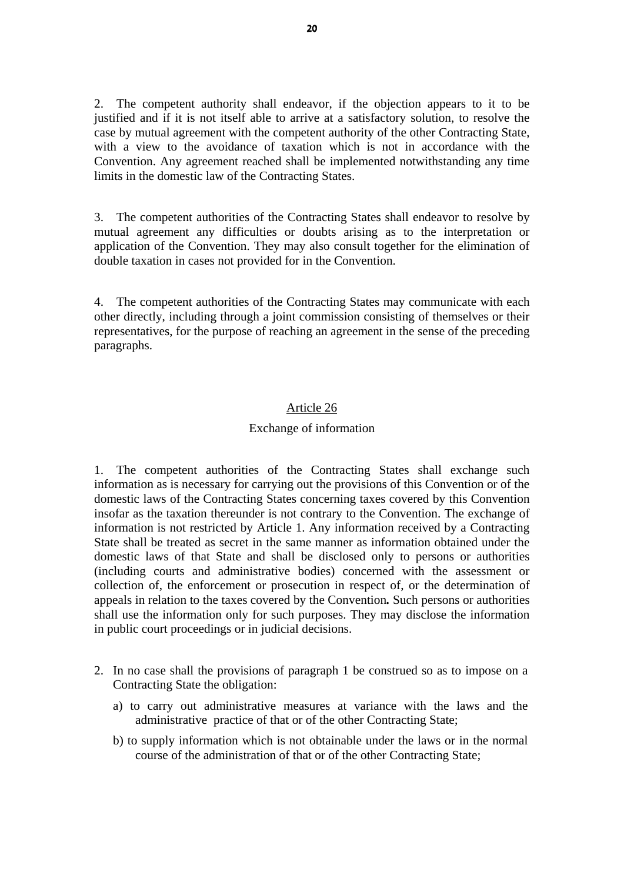2. The competent authority shall endeavor, if the objection appears to it to be justified and if it is not itself able to arrive at a satisfactory solution, to resolve the case by mutual agreement with the competent authority of the other Contracting State, with a view to the avoidance of taxation which is not in accordance with the Convention. Any agreement reached shall be implemented notwithstanding any time limits in the domestic law of the Contracting States.

3. The competent authorities of the Contracting States shall endeavor to resolve by mutual agreement any difficulties or doubts arising as to the interpretation or application of the Convention. They may also consult together for the elimination of double taxation in cases not provided for in the Convention.

4. The competent authorities of the Contracting States may communicate with each other directly, including through a joint commission consisting of themselves or their representatives, for the purpose of reaching an agreement in the sense of the preceding paragraphs.

#### Article 26

#### Exchange of information

1. The competent authorities of the Contracting States shall exchange such information as is necessary for carrying out the provisions of this Convention or of the domestic laws of the Contracting States concerning taxes covered by this Convention insofar as the taxation thereunder is not contrary to the Convention. The exchange of information is not restricted by Article 1. Any information received by a Contracting State shall be treated as secret in the same manner as information obtained under the domestic laws of that State and shall be disclosed only to persons or authorities (including courts and administrative bodies) concerned with the assessment or collection of, the enforcement or prosecution in respect of, or the determination of appeals in relation to the taxes covered by the Convention*.* Such persons or authorities shall use the information only for such purposes. They may disclose the information in public court proceedings or in judicial decisions.

- 2. In no case shall the provisions of paragraph 1 be construed so as to impose on a Contracting State the obligation:
	- a) to carry out administrative measures at variance with the laws and the administrative practice of that or of the other Contracting State;
	- b) to supply information which is not obtainable under the laws or in the normal course of the administration of that or of the other Contracting State;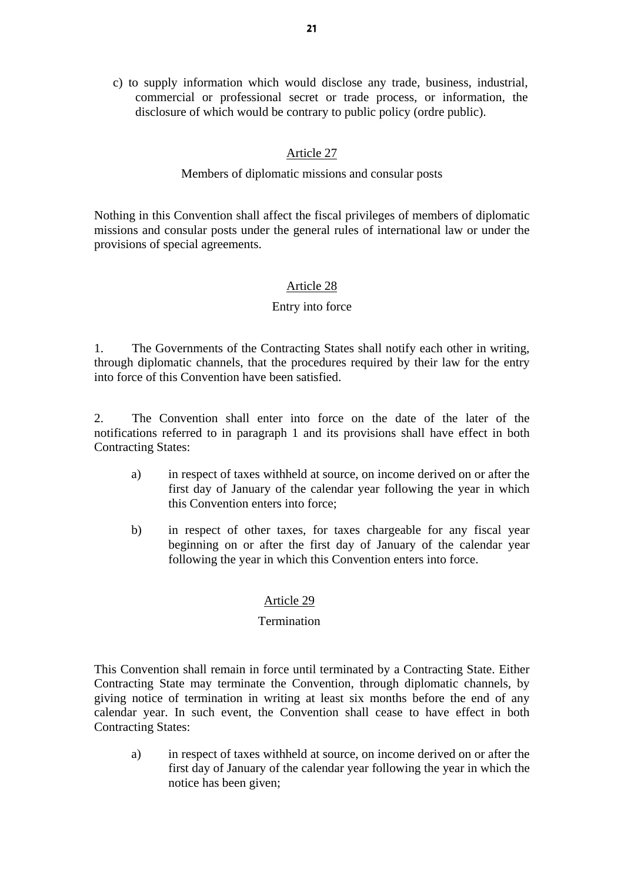21 and the contract of the contract of the contract of the contract of the contract of the contract of the contract of the contract of the contract of the contract of the contract of the contract of the contract of the con

c) to supply information which would disclose any trade, business, industrial, commercial or professional secret or trade process, or information, the disclosure of which would be contrary to public policy (ordre public).

# Article 27

# Members of diplomatic missions and consular posts

Nothing in this Convention shall affect the fiscal privileges of members of diplomatic missions and consular posts under the general rules of international law or under the provisions of special agreements.

# Article 28

# Entry into force

1. The Governments of the Contracting States shall notify each other in writing, through diplomatic channels, that the procedures required by their law for the entry into force of this Convention have been satisfied.

2. The Convention shall enter into force on the date of the later of the notifications referred to in paragraph 1 and its provisions shall have effect in both Contracting States:

- a) in respect of taxes withheld at source, on income derived on or after the first day of January of the calendar year following the year in which this Convention enters into force;
- b) in respect of other taxes, for taxes chargeable for any fiscal year beginning on or after the first day of January of the calendar year following the year in which this Convention enters into force.

### Article 29

### **Termination**

This Convention shall remain in force until terminated by a Contracting State. Either Contracting State may terminate the Convention, through diplomatic channels, by giving notice of termination in writing at least six months before the end of any calendar year. In such event, the Convention shall cease to have effect in both Contracting States:

a) in respect of taxes withheld at source, on income derived on or after the first day of January of the calendar year following the year in which the notice has been given;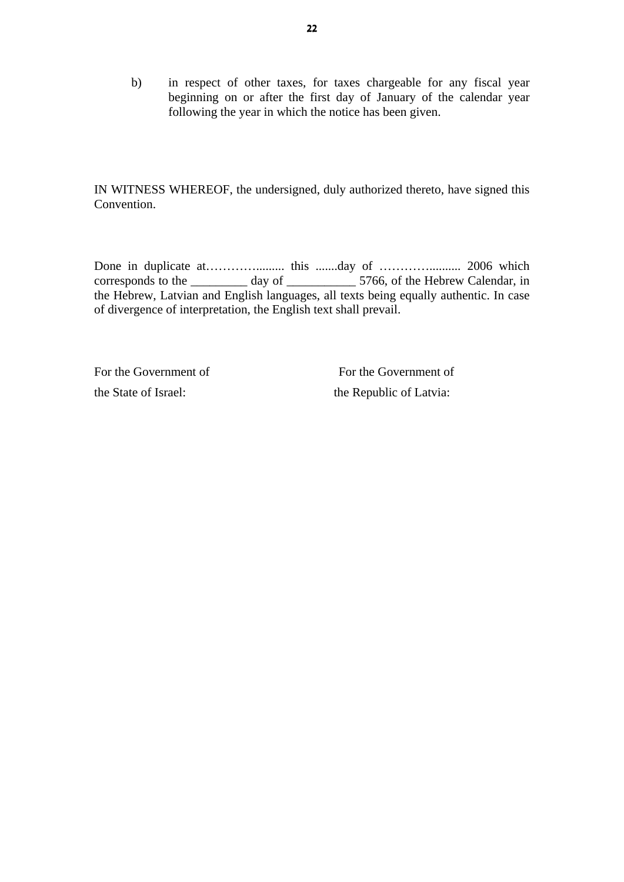b) in respect of other taxes, for taxes chargeable for any fiscal year beginning on or after the first day of January of the calendar year following the year in which the notice has been given.

IN WITNESS WHEREOF, the undersigned, duly authorized thereto, have signed this Convention.

Done in duplicate at…………………... this …….day of ………………….. 2006 which corresponds to the \_\_\_\_\_\_\_\_\_\_ day of \_\_\_\_\_\_\_\_\_\_\_\_ 5766, of the Hebrew Calendar, in the Hebrew, Latvian and English languages, all texts being equally authentic. In case of divergence of interpretation, the English text shall prevail.

For the Government of For the Government of the State of Israel: the Republic of Latvia: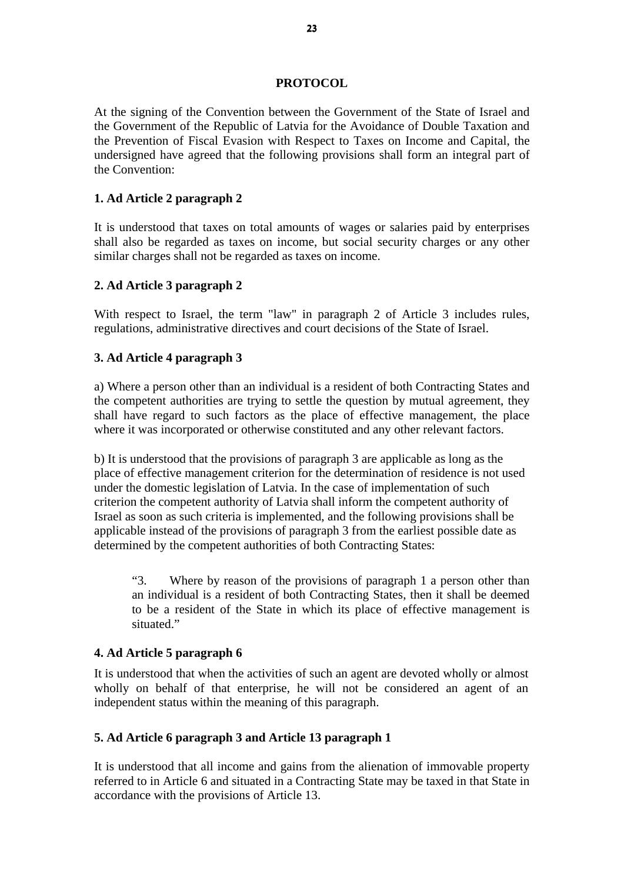#### **PROTOCOL**

At the signing of the Convention between the Government of the State of Israel and the Government of the Republic of Latvia for the Avoidance of Double Taxation and the Prevention of Fiscal Evasion with Respect to Taxes on Income and Capital, the undersigned have agreed that the following provisions shall form an integral part of the Convention:

## **1. Ad Article 2 paragraph 2**

It is understood that taxes on total amounts of wages or salaries paid by enterprises shall also be regarded as taxes on income, but social security charges or any other similar charges shall not be regarded as taxes on income.

### **2. Ad Article 3 paragraph 2**

With respect to Israel, the term "law" in paragraph 2 of Article 3 includes rules, regulations, administrative directives and court decisions of the State of Israel.

### **3. Ad Article 4 paragraph 3**

a) Where a person other than an individual is a resident of both Contracting States and the competent authorities are trying to settle the question by mutual agreement, they shall have regard to such factors as the place of effective management, the place where it was incorporated or otherwise constituted and any other relevant factors.

b) It is understood that the provisions of paragraph 3 are applicable as long as the place of effective management criterion for the determination of residence is not used under the domestic legislation of Latvia. In the case of implementation of such criterion the competent authority of Latvia shall inform the competent authority of Israel as soon as such criteria is implemented, and the following provisions shall be applicable instead of the provisions of paragraph 3 from the earliest possible date as determined by the competent authorities of both Contracting States:

"3. Where by reason of the provisions of paragraph 1 a person other than an individual is a resident of both Contracting States, then it shall be deemed to be a resident of the State in which its place of effective management is situated."

### **4. Ad Article 5 paragraph 6**

It is understood that when the activities of such an agent are devoted wholly or almost wholly on behalf of that enterprise, he will not be considered an agent of an independent status within the meaning of this paragraph.

### **5. Ad Article 6 paragraph 3 and Article 13 paragraph 1**

It is understood that all income and gains from the alienation of immovable property referred to in Article 6 and situated in a Contracting State may be taxed in that State in accordance with the provisions of Article 13.